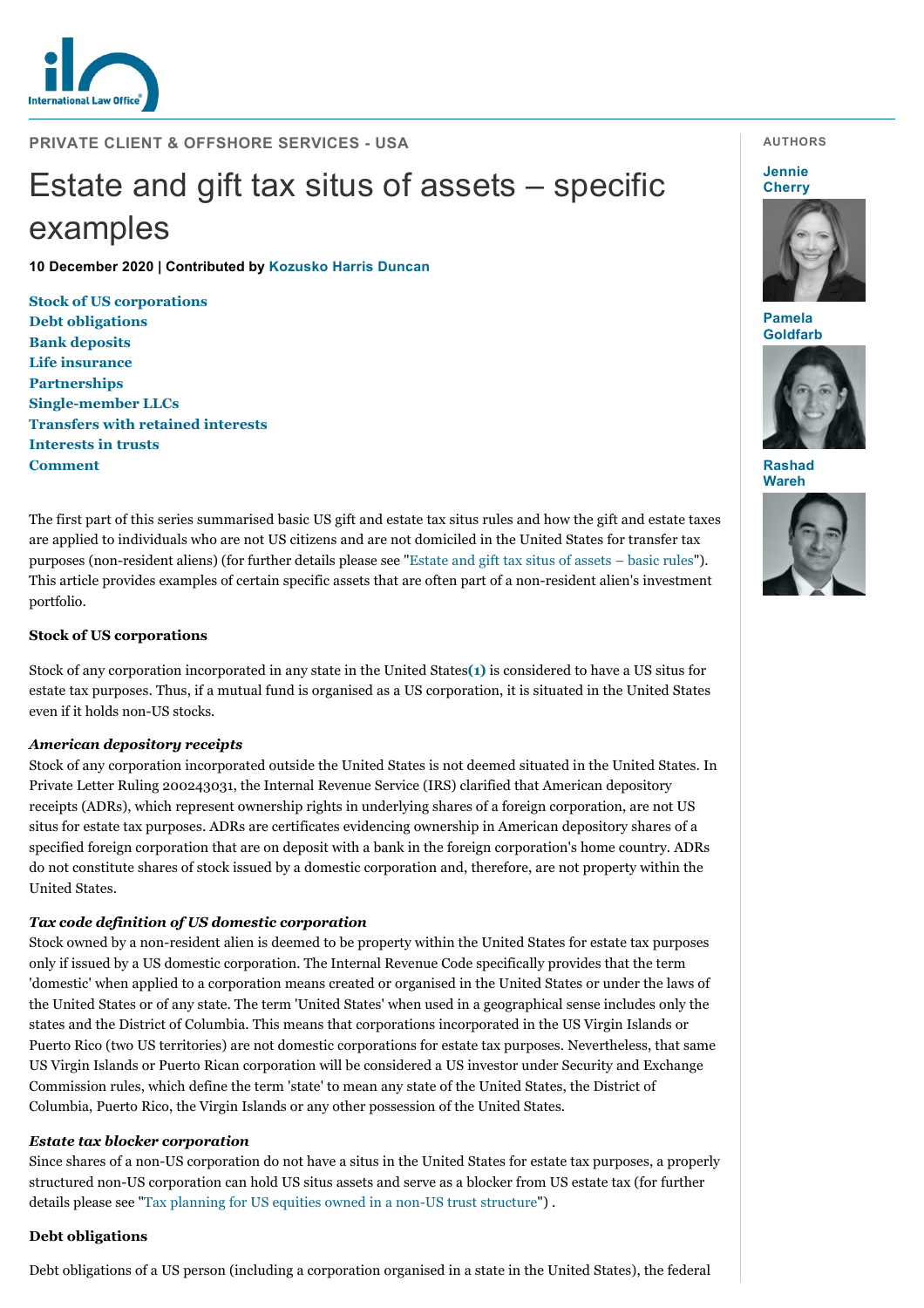

**PRIVATE CLIENT & OFFSHORE SERVICES - USA**

# Estate and gift tax situs of assets – specific examples

**10 December 2020 | Contributed by [Kozusko Harris Duncan](https://www.internationallawoffice.com/gesr.ashx?l=9B9HV00)**

**[Stock of US corporati](#page-2-0)[ons](#page-0-0) [Debt obligations](https://www.internationallawoffice.com/Newsletters/Private-Client-Offshore-Services/USA/Kozusko-Harris-Duncan/Estate-and-gift-tax-situs-of-assets-specific-examples?printversion=pdf#) [Bank deposits](#page-1-0) [Life insurance](#page-1-1) [Partnerships](#page-1-2) Single-member LLCs [Transfers with retained interests](#page-2-1) [Interests in trusts](#page-3-1) Comment**

The first part of this series summarised basic US gift and estate tax situs rules and how the gift and estate taxes are applied to individuals who are not US citizens and are not domiciled in the United States for transfer tax purposes (non-resident aliens) (for further details please see "[Estate and gift tax situs of assets – basic rules"](https://www.internationallawoffice.com/gesr.ashx?l=9B9HV03)). This article provides examples of certain specific assets that are often part of a non-resident alien's investment portfolio.

## <span id="page-0-0"></span>**Stock of US corporations**

Stock of any corporation incorporated in any state in the United States**[\(1\)](#page-3-2)** is considered to have a US situs for estate tax purposes. Thus, if a mutual fund is organised as a US corporation, it is situated in the United States even if it holds non-US stocks.

# *American depository receipts*

Stock of any corporation incorporated outside the United States is not deemed situated in the United States. In Private Letter Ruling 200243031, the Internal Revenue Service (IRS) clarified that American depository receipts (ADRs), which represent ownership rights in underlying shares of a foreign corporation, are not US situs for estate tax purposes. ADRs are certificates evidencing ownership in American depository shares of a specified foreign corporation that are on deposit with a bank in the foreign corporation's home country. ADRs do not constitute shares of stock issued by a domestic corporation and, therefore, are not property within the United States.

# *Tax code definition of US domestic corporation*

Stock owned by a non-resident alien is deemed to be property within the United States for estate tax purposes only if issued by a US domestic corporation. The Internal Revenue Code specifically provides that the term 'domestic' when applied to a corporation means created or organised in the United States or under the laws of the United States or of any state. The term 'United States' when used in a geographical sense includes only the states and the District of Columbia. This means that corporations incorporated in the US Virgin Islands or Puerto Rico (two US territories) are not domestic corporations for estate tax purposes. Nevertheless, that same US Virgin Islands or Puerto Rican corporation will be considered a US investor under Security and Exchange Commission rules, which define the term 'state' to mean any state of the United States, the District of Columbia, Puerto Rico, the Virgin Islands or any other possession of the United States.

## *Estate tax blocker corporation*

Since shares of a non-US corporation do not have a situs in the United States for estate tax purposes, a properly structured non-US corporation can hold US situs assets and serve as a blocker from US estate tax (for further details please see "[Tax planning for US equities owned in a non-US trust structure"](https://www.internationallawoffice.com/gesr.ashx?l=9B9HV06)) .

## **Debt obligations**

Debt obligations of a US person (including a corporation organised in a state in the United States), the federal

## **AUTHORS**

#### **Jennie [Cherry](https://www.internationallawoffice.com/gesr.ashx?l=9B9HV0T)**



**Pamela [Goldfarb](https://www.internationallawoffice.com/gesr.ashx?l=9B9HV0W)**



**[Rashad](https://www.internationallawoffice.com/gesr.ashx?l=9B9HV0Z) Wareh**

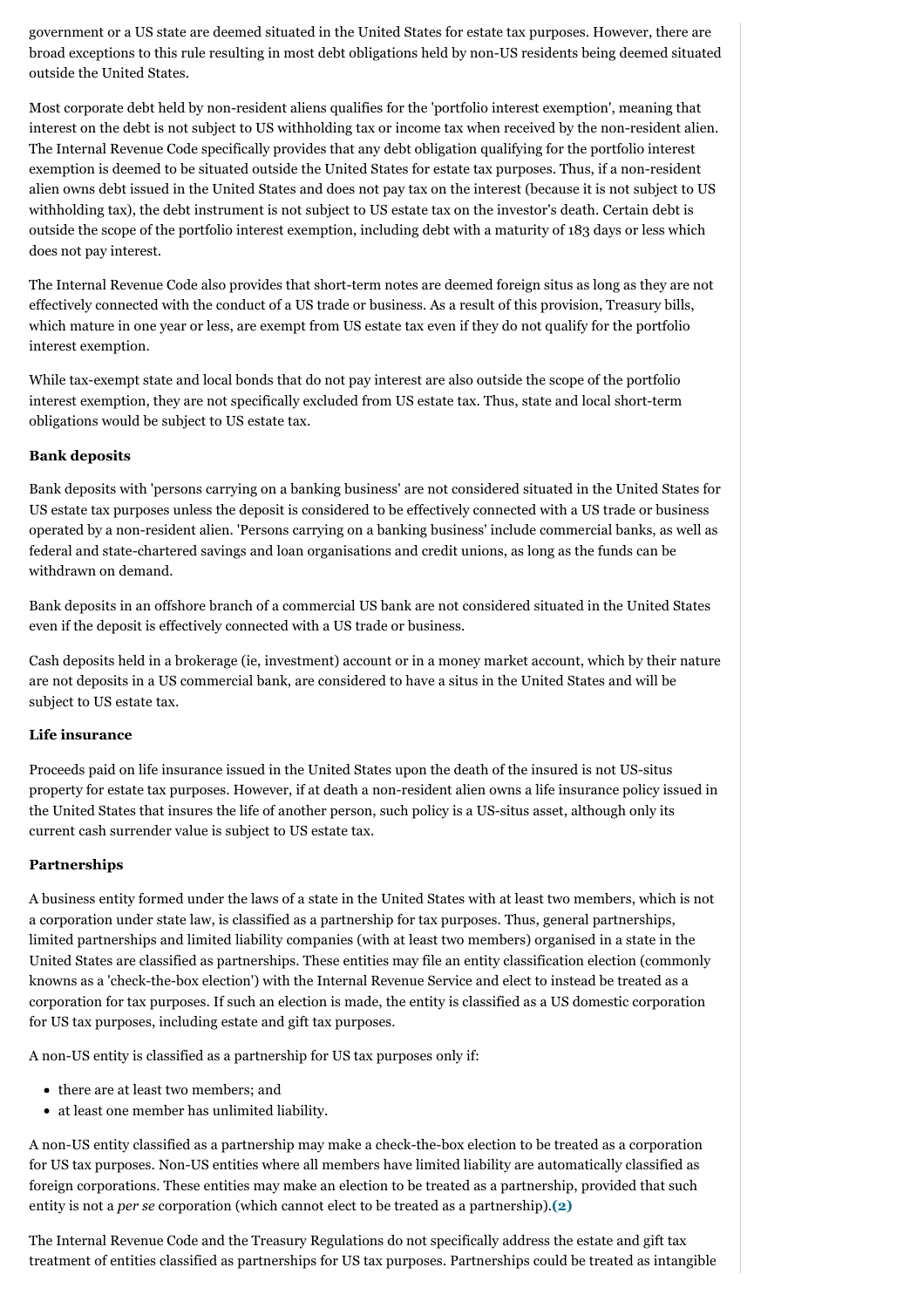government or a US state are deemed situated in the United States for estate tax purposes. However, there are broad exceptions to this rule resulting in most debt obligations held by non-US residents being deemed situated outside the United States.

Most corporate debt held by non-resident aliens qualifies for the 'portfolio interest exemption', meaning that interest on the debt is not subject to US withholding tax or income tax when received by the non-resident alien. The Internal Revenue Code specifically provides that any debt obligation qualifying for the portfolio interest exemption is deemed to be situated outside the United States for estate tax purposes. Thus, if a non-resident alien owns debt issued in the United States and does not pay tax on the interest (because it is not subject to US withholding tax), the debt instrument is not subject to US estate tax on the investor's death. Certain debt is outside the scope of the portfolio interest exemption, including debt with a maturity of 183 days or less which does not pay interest.

The Internal Revenue Code also provides that short-term notes are deemed foreign situs as long as they are not effectively connected with the conduct of a US trade or business. As a result of this provision, Treasury bills, which mature in one year or less, are exempt from US estate tax even if they do not qualify for the portfolio interest exemption.

While tax-exempt state and local bonds that do not pay interest are also outside the scope of the portfolio interest exemption, they are not specifically excluded from US estate tax. Thus, state and local short-term obligations would be subject to US estate tax.

## <span id="page-1-0"></span>**Bank deposits**

Bank deposits with 'persons carrying on a banking business' are not considered situated in the United States for US estate tax purposes unless the deposit is considered to be effectively connected with a US trade or business operated by a non-resident alien. 'Persons carrying on a banking business' include commercial banks, as well as federal and state-chartered savings and loan organisations and credit unions, as long as the funds can be withdrawn on demand.

Bank deposits in an offshore branch of a commercial US bank are not considered situated in the United States even if the deposit is effectively connected with a US trade or business.

Cash deposits held in a brokerage (ie, investment) account or in a money market account, which by their nature are not deposits in a US commercial bank, are considered to have a situs in the United States and will be subject to US estate tax.

## <span id="page-1-1"></span>**Life insurance**

Proceeds paid on life insurance issued in the United States upon the death of the insured is not US-situs property for estate tax purposes. However, if at death a non-resident alien owns a life insurance policy issued in the United States that insures the life of another person, such policy is a US-situs asset, although only its current cash surrender value is subject to US estate tax.

# <span id="page-1-2"></span>**Partnerships**

A business entity formed under the laws of a state in the United States with at least two members, which is not a corporation under state law, is classified as a partnership for tax purposes. Thus, general partnerships, limited partnerships and limited liability companies (with at least two members) organised in a state in the United States are classified as partnerships. These entities may file an entity classification election (commonly knowns as a 'check-the-box election') with the Internal Revenue Service and elect to instead be treated as a corporation for tax purposes. If such an election is made, the entity is classified as a US domestic corporation for US tax purposes, including estate and gift tax purposes.

A non-US entity is classified as a partnership for US tax purposes only if:

- there are at least two members; and
- at least one member has unlimited liability.

A non-US entity classified as a partnership may make a check-the-box election to be treated as a corporation for US tax purposes. Non-US entities where all members have limited liability are automatically classified as foreign corporations. These entities may make an election to be treated as a partnership, provided that such entity is not a *per se* corporation (which cannot elect to be treated as a partnership).**[\(2\)](#page-3-3)**

The Internal Revenue Code and the Treasury Regulations do not specifically address the estate and gift tax treatment of entities classified as partnerships for US tax purposes. Partnerships could be treated as intangible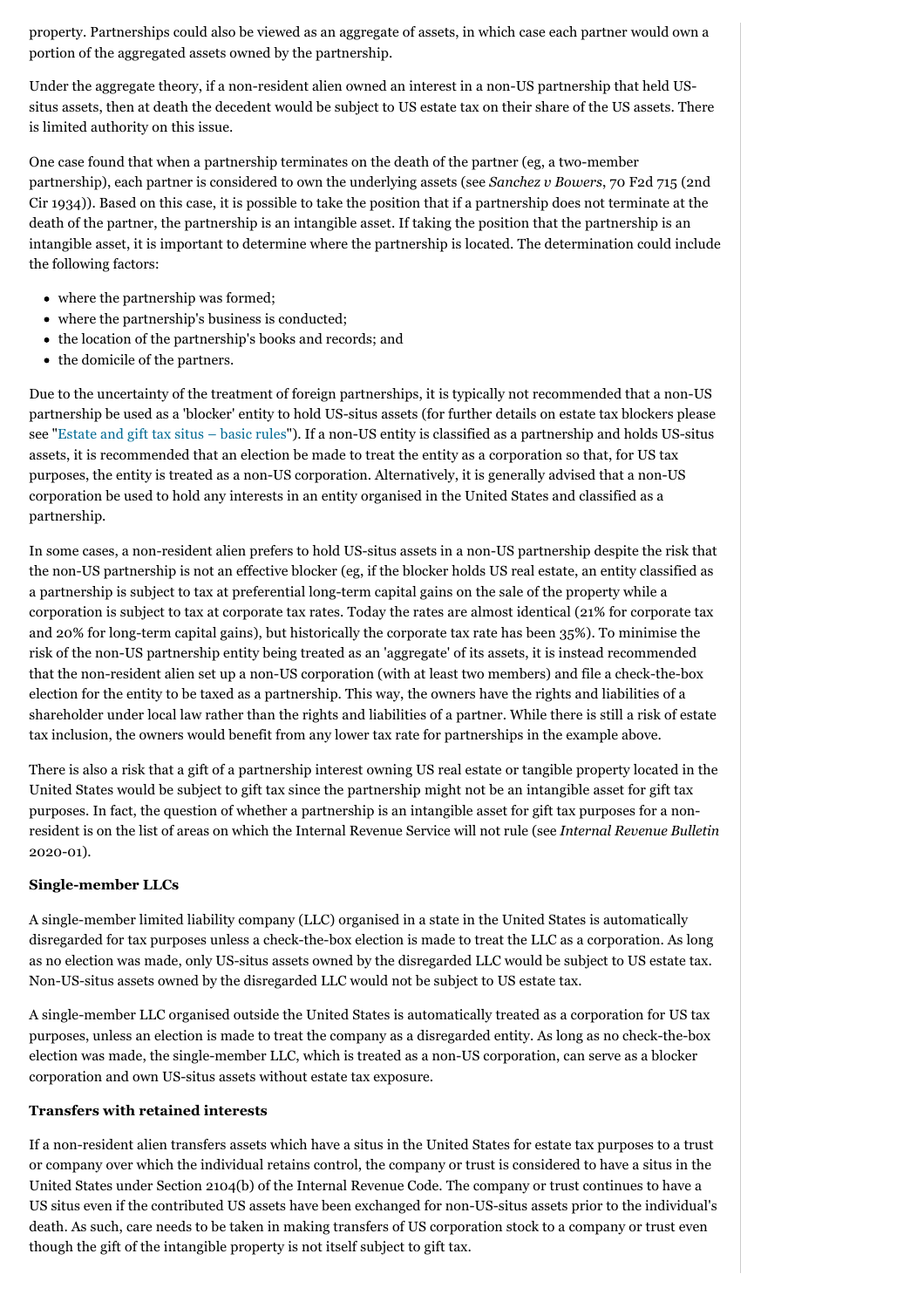property. Partnerships could also be viewed as an aggregate of assets, in which case each partner would own a portion of the aggregated assets owned by the partnership.

Under the aggregate theory, if a non-resident alien owned an interest in a non-US partnership that held USsitus assets, then at death the decedent would be subject to US estate tax on their share of the US assets. There is limited authority on this issue.

One case found that when a partnership terminates on the death of the partner (eg, a two-member partnership), each partner is considered to own the underlying assets (see *Sanchez v Bowers*, 70 F2d 715 (2nd Cir 1934)). Based on this case, it is possible to take the position that if a partnership does not terminate at the death of the partner, the partnership is an intangible asset. If taking the position that the partnership is an intangible asset, it is important to determine where the partnership is located. The determination could include the following factors:

- where the partnership was formed;
- where the partnership's business is conducted;
- the location of the partnership's books and records; and
- the domicile of the partners.

Due to the uncertainty of the treatment of foreign partnerships, it is typically not recommended that a non-US partnership be used as a 'blocker' entity to hold US-situs assets (for further details on estate tax blockers please see ["Estate and gift tax situs – basic rules](https://www.internationallawoffice.com/gesr.ashx?l=9B9HV03)"). If a non-US entity is classified as a partnership and holds US-situs assets, it is recommended that an election be made to treat the entity as a corporation so that, for US tax purposes, the entity is treated as a non-US corporation. Alternatively, it is generally advised that a non-US corporation be used to hold any interests in an entity organised in the United States and classified as a partnership.

In some cases, a non-resident alien prefers to hold US-situs assets in a non-US partnership despite the risk that the non-US partnership is not an effective blocker (eg, if the blocker holds US real estate, an entity classified as a partnership is subject to tax at preferential long-term capital gains on the sale of the property while a corporation is subject to tax at corporate tax rates. Today the rates are almost identical (21% for corporate tax and 20% for long-term capital gains), but historically the corporate tax rate has been 35%). To minimise the risk of the non-US partnership entity being treated as an 'aggregate' of its assets, it is instead recommended that the non-resident alien set up a non-US corporation (with at least two members) and file a check-the-box election for the entity to be taxed as a partnership. This way, the owners have the rights and liabilities of a shareholder under local law rather than the rights and liabilities of a partner. While there is still a risk of estate tax inclusion, the owners would benefit from any lower tax rate for partnerships in the example above.

There is also a risk that a gift of a partnership interest owning US real estate or tangible property located in the United States would be subject to gift tax since the partnership might not be an intangible asset for gift tax purposes. In fact, the question of whether a partnership is an intangible asset for gift tax purposes for a nonresident is on the list of areas on which the Internal Revenue Service will not rule (see *Internal Revenue Bulletin* 2020-01).

# <span id="page-2-0"></span>**Single-member LLCs**

A single-member limited liability company (LLC) organised in a state in the United States is automatically disregarded for tax purposes unless a check-the-box election is made to treat the LLC as a corporation. As long as no election was made, only US-situs assets owned by the disregarded LLC would be subject to US estate tax. Non-US-situs assets owned by the disregarded LLC would not be subject to US estate tax.

A single-member LLC organised outside the United States is automatically treated as a corporation for US tax purposes, unless an election is made to treat the company as a disregarded entity. As long as no check-the-box election was made, the single-member LLC, which is treated as a non-US corporation, can serve as a blocker corporation and own US-situs assets without estate tax exposure.

# <span id="page-2-1"></span>**Transfers with retained interests**

If a non-resident alien transfers assets which have a situs in the United States for estate tax purposes to a trust or company over which the individual retains control, the company or trust is considered to have a situs in the United States under Section 2104(b) of the Internal Revenue Code. The company or trust continues to have a US situs even if the contributed US assets have been exchanged for non-US-situs assets prior to the individual's death. As such, care needs to be taken in making transfers of US corporation stock to a company or trust even though the gift of the intangible property is not itself subject to gift tax.